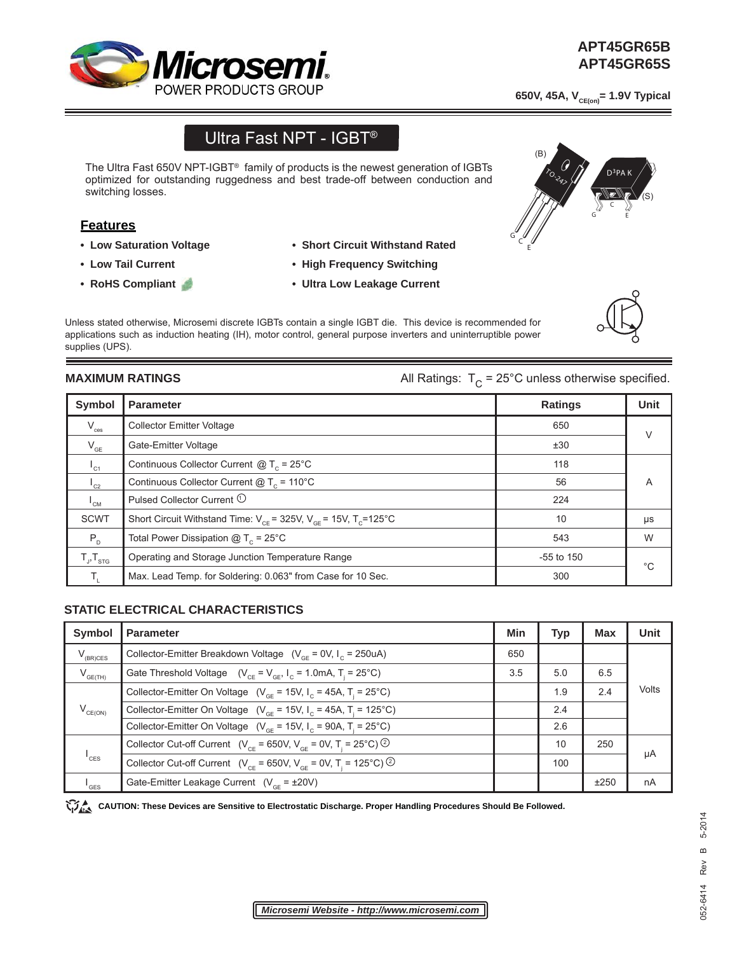

## **APT45GR65B\_S APT45GR65B APT45GR65S**

650V, 45A, V<sub>CE(on)</sub> = 1.9V Typical

# Ultra Fast NPT - IGBT®

The Ultra Fast 650V NPT-IGBT<sup>®</sup> family of products is the newest generation of IGBTs optimized for outstanding ruggedness and best trade-off between conduction and switching losses.

### **Features**

- **Low Saturation Voltage**
- **Low Tail Current**
- **RoHS Compliant**
- **Short Circuit Withstand Rated**
- **High Frequency Switching**
- **Ultra Low Leakage Current**

Unless stated otherwise, Microsemi discrete IGBTs contain a single IGBT die. This device is recommended for applications such as induction heating (IH), motor control, general purpose inverters and uninterruptible power supplies (UPS).

**MAXIMUM RATINGS All Ratings:**  $T_c = 25^{\circ}$ C unless otherwise specified.

| <b>Symbol</b>              | <b>Parameter</b>                                                              | <b>Ratings</b> | <b>Unit</b> |
|----------------------------|-------------------------------------------------------------------------------|----------------|-------------|
| $V_{\rm ces}$              | <b>Collector Emitter Voltage</b>                                              | 650            | $\vee$      |
| $V_{GE}$                   | Gate-Emitter Voltage                                                          | ±30            |             |
| $I_{C1}$                   | Continuous Collector Current $@T_c = 25^{\circ}C$                             | 118            |             |
| $L_{C2}$                   | Continuous Collector Current $@T_c = 110°C$                                   | 56             | A           |
| $\mathsf{L}_{\mathsf{CM}}$ | Pulsed Collector Current <sup>1</sup>                                         | 224            |             |
| <b>SCWT</b>                | Short Circuit Withstand Time: $V_{CF}$ = 325V, $V_{GF}$ = 15V, $T_{C}$ =125°C | 10             | μs          |
| $P_{D}$                    | Total Power Dissipation $@T_c = 25^{\circ}C$                                  | 543            | W           |
| $T_{J}$ , $T_{STG}$        | Operating and Storage Junction Temperature Range                              | $-55$ to 150   | $^{\circ}C$ |
|                            | Max. Lead Temp. for Soldering: 0.063" from Case for 10 Sec.                   | 300            |             |

### **STATIC ELECTRICAL CHARACTERISTICS**

| <b>Symbol</b>               | <b>Parameter</b>                                                                                    | <b>Min</b> | <b>Typ</b> | <b>Max</b> | <b>Unit</b> |
|-----------------------------|-----------------------------------------------------------------------------------------------------|------------|------------|------------|-------------|
| $V_{(BR)CES}$               | Collector-Emitter Breakdown Voltage $(V_{CF} = 0V, I_C = 250uA)$                                    | 650        |            |            |             |
| $V_{GE(TH)}$                | Gate Threshold Voltage $(V_{CF} = V_{GF}, I_C = 1.0 \text{mA}, T = 25^{\circ}\text{C})$             | 3.5        | 5.0        | 6.5        | Volts       |
| $V_{CE(ON)}$                | Collector-Emitter On Voltage ( $V_{GF}$ = 15V, $I_{C}$ = 45A, T <sub>i</sub> = 25°C)                |            | 1.9        | 2.4        |             |
|                             | Collector-Emitter On Voltage ( $V_{\text{CF}}$ = 15V, $I_{\text{C}}$ = 45A, T <sub>i</sub> = 125°C) |            | 2.4        |            |             |
|                             | Collector-Emitter On Voltage ( $V_{\text{CF}}$ = 15V, $I_{\text{C}}$ = 90A, T <sub>i</sub> = 25°C)  |            | 2.6        |            |             |
| $I_{\text{CES}}$            | Collector Cut-off Current ( $V_{CF}$ = 650V, $V_{CF}$ = 0V, T <sub>i</sub> = 25°C) ②                |            | 10         | 250        | μA          |
|                             | Collector Cut-off Current ( $V_{CF}$ = 650V, $V_{CF}$ = 0V, T <sub>i</sub> = 125°C) <sup>②</sup>    |            | 100        |            |             |
| $\mathsf{I}_{\mathsf{GES}}$ | Gate-Emitter Leakage Current $(V_{CF} = \pm 20V)$                                                   |            |            | ±250       | nA          |

CAUTION: These Devices are Sensitive to Electrostatic Discharge. Proper Handling Procedures Should Be Followed.





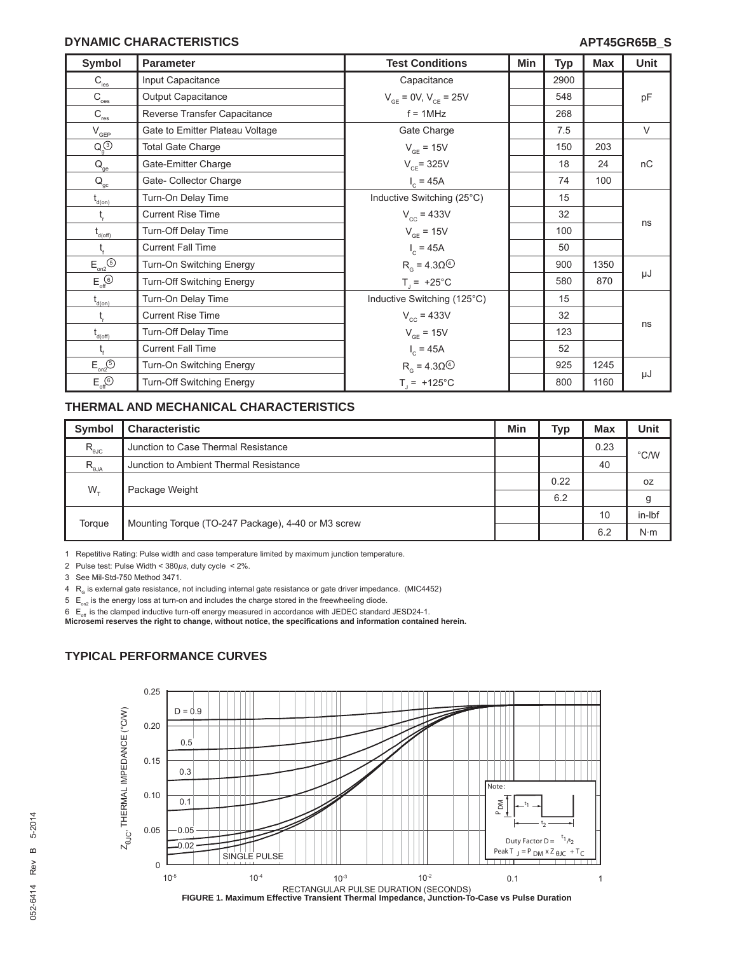#### **DYNAMIC CHARACTERISTICS**

| <b>Symbol</b>                                                 | <b>Parameter</b>                 | <b>Test Conditions</b>                            | Min | <b>Typ</b> | <b>Max</b> | Unit   |
|---------------------------------------------------------------|----------------------------------|---------------------------------------------------|-----|------------|------------|--------|
| $\mathsf{C}_{\textup{\tiny\rm{ies}}}$                         | Input Capacitance                | Capacitance                                       |     | 2900       |            |        |
| $\mathrm{C}_{\underline{\mathrm{oes}}}$                       | Output Capacitance               | $V_{CF} = 0V, V_{CF} = 25V$                       |     | 548        |            | pF     |
| $\mathsf{C}_{\textsf{res}}$                                   | Reverse Transfer Capacitance     | $f = 1$ MHz                                       |     | 268        |            |        |
| $\mathsf{V}_{\mathsf{GEP}}$                                   | Gate to Emitter Plateau Voltage  | Gate Charge                                       |     | 7.5        |            | $\vee$ |
| $Q_q^{(3)}$                                                   | <b>Total Gate Charge</b>         | $V_{GF} = 15V$                                    |     | 150        | 203        |        |
| $\mathsf{Q}_{_{\sf ge}}$                                      | Gate-Emitter Charge              | $V_{CF}$ = 325V                                   |     | 18         | 24         | nC     |
| $\mathsf{Q}_\mathrm{gc}$                                      | Gate- Collector Charge           | $I_c = 45A$                                       |     | 74         | 100        |        |
| $\mathfrak{t}_{\scriptscriptstyle{\mathsf{d}(\mathsf{on})}}$  | Turn-On Delay Time               | Inductive Switching (25°C)                        |     | 15         |            |        |
| $t_{\rm r}$                                                   | <b>Current Rise Time</b>         | $V_{cc} = 433V$                                   |     | 32         |            |        |
| $t_{d(off)}$                                                  | Turn-Off Delay Time              | $V_{GF} = 15V$                                    |     | 100        |            | ns     |
|                                                               | <b>Current Fall Time</b>         | $I_c = 45A$                                       |     | 50         |            |        |
| $\mathsf{E}_{\mathsf{on2}}^{\mathsf{}}(\mathsf{S})$           | Turn-On Switching Energy         | $R_{\alpha}$ = 4.30 <sup><math>\circ</math></sup> |     | 900        | 1350       |        |
| $E_{\text{off}}$                                              | Turn-Off Switching Energy        | $T_1 = +25^{\circ}C$                              |     | 580        | 870        | μJ     |
| $t_{\text{\tiny d(0n)}}$                                      | Turn-On Delay Time               | Inductive Switching (125°C)                       |     | 15         |            |        |
| $t_{\rm r}$                                                   | <b>Current Rise Time</b>         | $V_{cc}$ = 433V                                   |     | 32         |            |        |
| $\mathfrak{t}_{\scriptscriptstyle{\mathsf{d}(\mathsf{off})}}$ | Turn-Off Delay Time              | $V_{GE}$ = 15V                                    |     | 123        |            | ns     |
| $t_{\rm f}$                                                   | <b>Current Fall Time</b>         | $I_c = 45A$                                       |     | 52         |            |        |
| $E_{on2}$ <sup>(5)</sup>                                      | Turn-On Switching Energy         | $R_{\alpha}$ = 4.30 $\circledcirc$                |     | 925        | 1245       |        |
| $E_{\text{off}}$ <sup><math>\odot</math></sup>                | <b>Turn-Off Switching Energy</b> | $T_1 = +125^{\circ}C$                             |     | 800        | 1160       | μJ     |

#### **THERMAL AND MECHANICAL CHARACTERISTICS**

| <b>Symbol</b>                                      | <b>Characteristic</b>                              | Min | <b>Typ</b> | <b>Max</b> | <b>Unit</b>   |
|----------------------------------------------------|----------------------------------------------------|-----|------------|------------|---------------|
| $\mathsf{R}_{\scriptscriptstyle{\theta\text{JC}}}$ | Junction to Case Thermal Resistance                |     |            | 0.23       | $\degree$ C/W |
| $R_{\theta JA}$                                    | Junction to Ambient Thermal Resistance             |     |            | 40         |               |
| $W_{\tau}$                                         | Package Weight                                     |     | 0.22       |            | 0Z            |
|                                                    |                                                    |     | 6.2        |            | g             |
| Torque                                             | Mounting Torque (TO-247 Package), 4-40 or M3 screw |     |            | 10         | in-Ibf        |
|                                                    |                                                    |     |            | 6.2        | $N \cdot m$   |

1 Repetitive Rating: Pulse width and case temperature limited by maximum junction temperature.

2 Pulse test: Pulse Width < 380*μs*, duty cycle < 2%.

3 See Mil-Std-750 Method 3471.

 $4$  R<sub>G</sub> is external gate resistance, not including internal gate resistance or gate driver impedance. (MIC4452)

 $5 E_{on2}$  is the energy loss at turn-on and includes the charge stored in the freewheeling diode.

6 E<sub>df</sub>is the clamped inductive turn-off energy measured in accordance with JEDEC standard JESD24-1.<br>**Microsemi reserves the right to change, without notice, the specifications and information contained herein.** 

#### **TYPICAL PERFORMANCE CURVES**

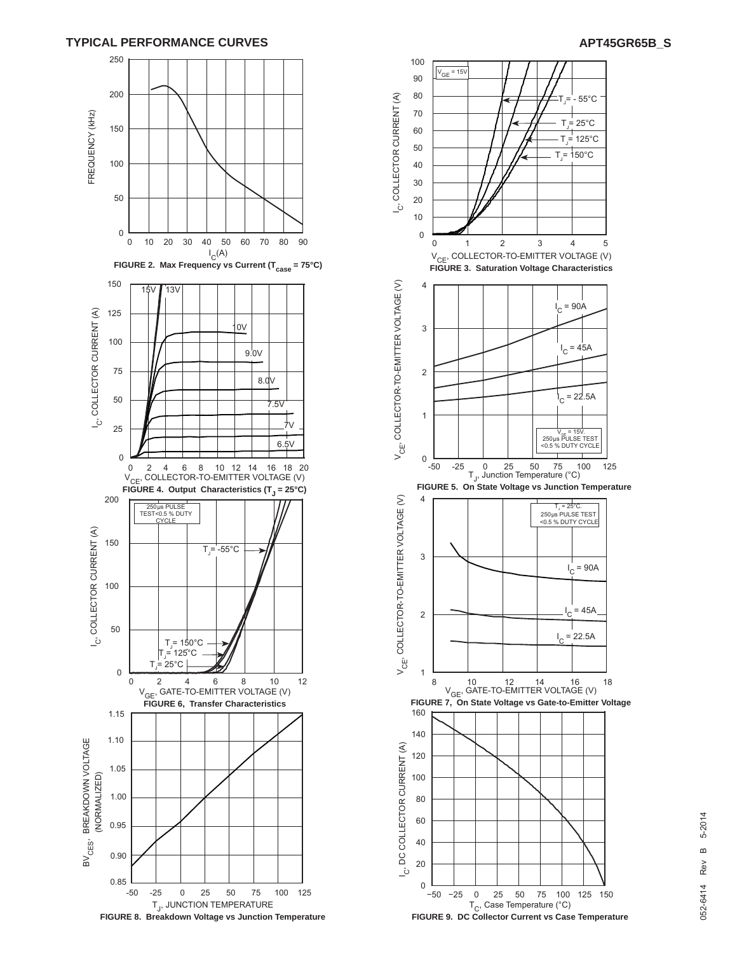



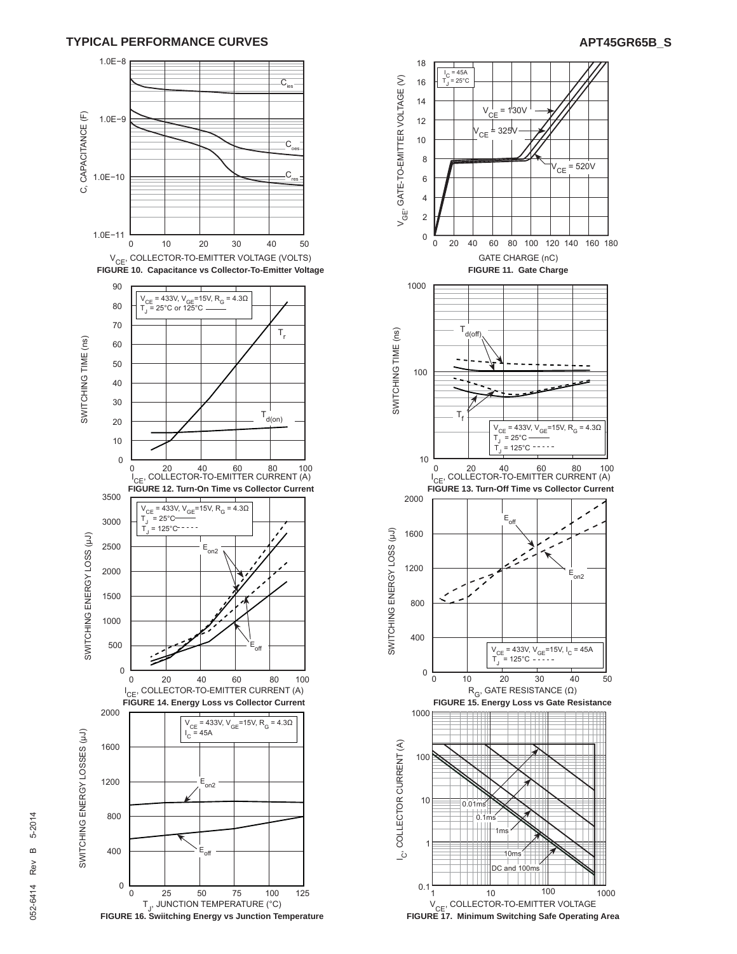#### **TYPICAL PERFORMANCE CURVES**



T<sub>J</sub>, JUNCTION TEMPERATURE (°C) **FIGURE 16. Swiitching Energy vs Junction Temperature**



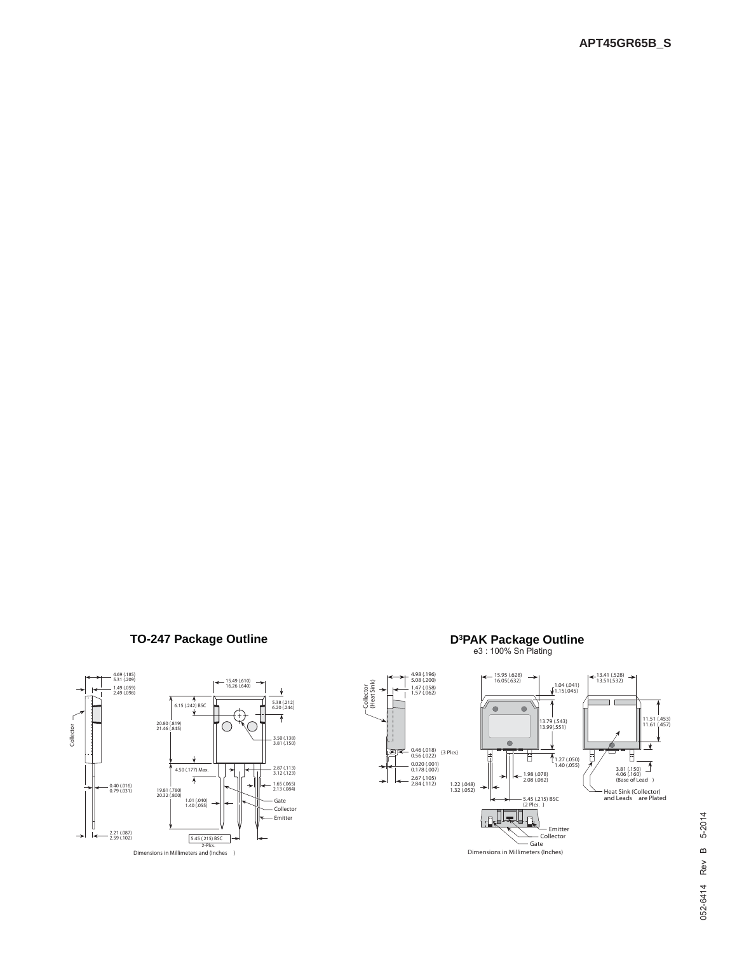# **TO-247 Package Outline**





**PAK Package Outline**<br>e3 : 100% Sn Plating

Collector<br>(Heat Sink) (Heat Sink)

Dimensions in Millimeters (Inches)

# 5-2014 052-6414 Rev B 5-2014  $\omega$ 052-6414 Rev

11.51 (.453) 11.61 (.457)

 $\overline{\textbf{v}}$